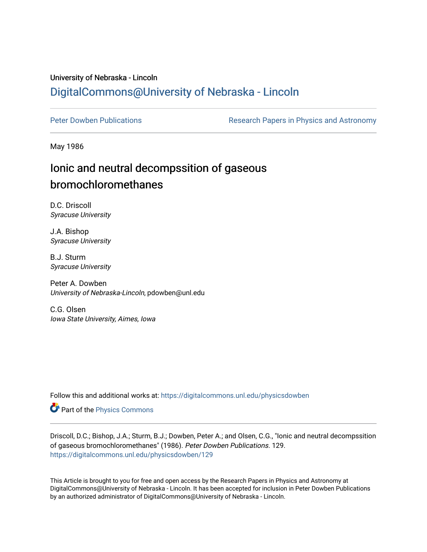## University of Nebraska - Lincoln [DigitalCommons@University of Nebraska - Lincoln](https://digitalcommons.unl.edu/)

[Peter Dowben Publications](https://digitalcommons.unl.edu/physicsdowben) **Research Papers in Physics and Astronomy** 

May 1986

# Ionic and neutral decompssition of gaseous bromochloromethanes

D.C. Driscoll Syracuse University

J.A. Bishop Syracuse University

B.J. Sturm Syracuse University

Peter A. Dowben University of Nebraska-Lincoln, pdowben@unl.edu

C.G. Olsen Iowa State University, Aimes, Iowa

Follow this and additional works at: [https://digitalcommons.unl.edu/physicsdowben](https://digitalcommons.unl.edu/physicsdowben?utm_source=digitalcommons.unl.edu%2Fphysicsdowben%2F129&utm_medium=PDF&utm_campaign=PDFCoverPages) 

Part of the [Physics Commons](http://network.bepress.com/hgg/discipline/193?utm_source=digitalcommons.unl.edu%2Fphysicsdowben%2F129&utm_medium=PDF&utm_campaign=PDFCoverPages)

Driscoll, D.C.; Bishop, J.A.; Sturm, B.J.; Dowben, Peter A.; and Olsen, C.G., "Ionic and neutral decompssition of gaseous bromochloromethanes" (1986). Peter Dowben Publications. 129. [https://digitalcommons.unl.edu/physicsdowben/129](https://digitalcommons.unl.edu/physicsdowben/129?utm_source=digitalcommons.unl.edu%2Fphysicsdowben%2F129&utm_medium=PDF&utm_campaign=PDFCoverPages) 

This Article is brought to you for free and open access by the Research Papers in Physics and Astronomy at DigitalCommons@University of Nebraska - Lincoln. It has been accepted for inclusion in Peter Dowben Publications by an authorized administrator of DigitalCommons@University of Nebraska - Lincoln.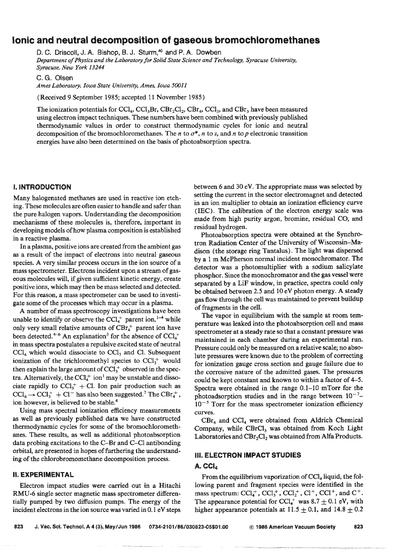### **Ionic and neutral decomposition of gaseous bromochloromethanes**

D. 6. Driscoll, **J. A.** Bishop, **B.** J. Sturrn,": **and** P. **A.** Dowben

*Department of Physics and the Laboratory for Solid State Science and Technology, Syracuse University, Syracuse, New York 13244* 

**C. G. Orsen** 

*Amex Gabomto~y, Iowa State Uniuersity, Ames, Iowa* **50011** 

(Received 9 September **11985;** acxpted I **f** November **2985 <sup>9</sup>**

The ionization potentials for CCl<sub>4</sub>, CCl<sub>3</sub>Br, CBr<sub>2</sub>Cl<sub>2</sub>, CBr<sub>4</sub>, CCl<sub>3</sub>, and CBr<sub>3</sub> have been measured using electron impact techniques. These numbers have been combined with previously published thermodynamic values in order to construct thermodynamic cycles for ionic and neutral decomposition of the bromochloromethanes. The *n* to  $\sigma^*$ , *n* to *s*, and *n* to *p* electronic transition energies have also been determined on the basis of photoabsorption spectra.

#### **1. INTRODUCTION**

Many halogenated methanes are used in reactive ion etching. These molecules are often easier to handle and safer than the pure halogen vapors. Understanding the decomposition mechanisms of these molecules is, therefore, important in developing models of how plasma composition is established in a reactive plasma.

In a plasma, positive ions are created from the ambient gas as a result of the impact of electrons into neutral gaseous species. A very similar process occurs in the ion source of a mass spectrometer. Electrons incident upon a stream of gaseous molecules will, if given sufficient kinetic energy, create positive ions, which may then be mass selected and detected. For this reason, a mass spectrometer can be used to investigate some of the processes which may occur in a plasma.

**A** number of mass spectroscopy investigations have been unable to identify or observe the  $CCI<sub>4</sub><sup>+</sup>$  parent ion,<sup>1-4</sup> while only very small relative amounts of  $CBr<sub>4</sub>$ <sup>+</sup> parent ion have been detected.<sup>4-6</sup> An explanation<sup>3</sup> for the absence of  $CCl_4^+$ in mass spectra postulates a repulsive excited state of neutral  $CCI<sub>4</sub>$  which would dissociate to  $CCI<sub>3</sub>$  and Cl. Subsequent ionization of the trichloromethyl species to  $CCl_3^+$  would then explain the large amount of  $CCI<sub>3</sub><sup>+</sup>$  observed in the spectra. Alternatively, the  $CCl<sub>4</sub><sup>+</sup>$  ion<sup>1</sup> may be unstable and dissociate rapidly to  $CCl_3^+ + CI$ . Ion pair production such as  $\text{CCl}_4 \rightarrow \text{CCl}_3^+ + \text{Cl}^-$  has also been suggested.<sup>7</sup> The CBr<sub>4</sub><sup>+</sup>, ion however, is believed to be stable.<sup>4</sup>

Using mass spectral ionization efficiency measurements as well as previously published data we have constructed thermodynamic cycles for some of the bromochloromethanes. These results, as well as additional photoabsorption data probing excitations to the C-Br and C-C1 antibonding orbital, are presented in hopes of furthering the understanding of the chlorobromomethane decomposition process.<br>**ignosity ill. ELECTRON IMPACT STUDIES** 

betwen *6* **and** 30 eV. The appropriate mass was selected **by**  setting the current in the sector electromagnet and detected in an ion multiplier to obtain an ionization eficiency curve **(IEC).** The calibration of the electron energy sale was made from high purity argon, bromine, residual *CO,* and residual hydrogen.

Photoabsorption spectra were obtained at the Synchrotron Radiation Center of the University of Wisconsin-Ma dison (the storage ring Tantalus). The light was dispersed by a 1 m McPherson normal incident monochromator. The detector was a photomultiplier with a sodium salicylate phosphor. Since the monochromator and the gas vessel were separated by a LiF window, in practice, spectra could only be obtained between 2.5 and I0 eV photon energy. **A** steady gas flow through the cell was maintained to prevent buildup **d** fragments in the cell.

The vapor in equilibrium with the sample at room temperature was leaked into the photoabsorption cell and mass spectrometer at a steady rate so that a constant pressure was maintained in each chamber **during** am experimental run. Pressure could only be measured on a relative scale; no absolute pressures were known due to the problem of correcting for ionization gauge cross section and gauge failure due to the corrosive nature of the admitted gases. The pressures could be kept constant and known to within a factor of **4-5.**  Spectra were obtained in the range  $0.1-10$  mTorr for the photoadsorption studies and in the range between  $10^{-7}$ - $10^{-5}$  Torr for the mass spectrometer ionization efficiency curves.

 $CBr<sub>4</sub>$  and  $CCl<sub>4</sub>$  were obtained from Aldrich Chemical Company, while CBrCl<sub>3</sub> was obtained from Koch Light Laboratories and  $CBr_2Cl$ , was obtained from Alfa Products.

**II. EXPERIMENTAL** From the equilibrium vaporization of CCl<sub>4</sub> liquid, the fol-Ekctron impact studies were carried out in **a** Hitachi lowing parent md fragment species were identified in the **RMU-6** single sector magnetic mass spectrometer differen- mass spectrum:  $\text{CCl}_4^+$ ,  $\text{CCl}_3^+$ ,  $\text{CCl}_2^+$ ,  $\text{CCl}_1^+$ ,  $\text{CCl}_1^+$ , and  $\text{C}^+$ . tially pumped by two diffusion pumps. The energy of the The appearance potential for  $CCl<sub>4</sub><sup>+</sup>$  was 8.7  $\pm$  0.1 eV, with incident electrons in the ion source was varied in 0.1 eV steps higher appearance potentials at  $11.5 \pm 0.1$ , and  $14.8 \pm 0.2$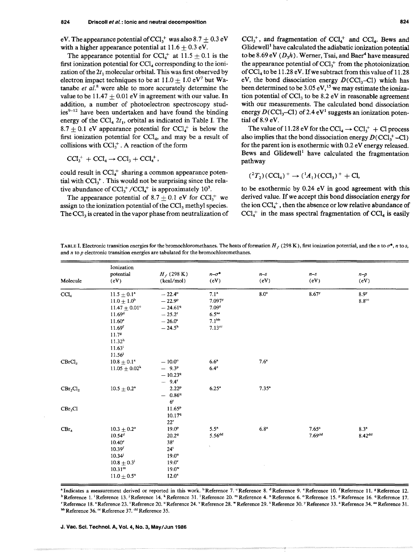eV. The appearance potential of CCl<sub>3</sub><sup>+</sup> was also 8.7  $\pm$  0.3 eV with a higher appearance potential at  $11.6 + 0.3$  eV.

The appearance potential for  $CCl<sub>4</sub><sup>+</sup>$  at  $11.5 + 0.1$  is the first ionization potential for  $CCl<sub>4</sub>$  corresponding to the ionization of the  $2t_1$  molecular orbital. This was first observed by electron impact techniques to be at  $11.0 \pm 1.0 \text{ eV}^7$  but Watanabe *et al.'* were able to more accurately determine the value to be  $11.47 \pm 0.01$  eV in agreement with our value. In addition, a number of photoelectron spectroscopy studies<sup>9-12</sup> have been undertaken and have found the binding energy of the  $\text{CCI}_4$   $2t_1$ , orbital as indicated in Table I. The 8.7  $\pm$  0.1 eV appearance potential for CCl<sub>4</sub><sup>+</sup> is below the first ionization potential for  $CCI<sub>4</sub>$ , and may be a result of collisions with CCl?. **A** reaction of the form

 $\text{CCl}_{3}^+ + \text{CCl}_{4} \rightarrow \text{CCl}_{3} + \text{CCl}_{4}^+,$ 

could result in  $CCl_4^+$  sharing a common appearance potential with  $CCl_3^+$ . This would not be surprising since the relative abundance of  $CCl_{1}^{+}/CCl_{4}^{+}$  is approximately 10<sup>3</sup>.

The appearance potential of  $8.7 \pm 0.1$  eV for CCl<sub>3</sub><sup>+</sup> we assign to the ionization potential of the CCl<sub>3</sub> methyl species. The CCI, is created in the vapor phase from neutralization of  $CCl<sub>3</sub><sup>+</sup>$ , and fragmentation of  $CCl<sub>4</sub><sup>+</sup>$  and  $CCl<sub>4</sub>$ . Bews and  $G$ lidewell<sup>1</sup> have calculated the adiabatic ionization potential to be 8.69 eV  $(D<sub>3</sub>h)$ . Werner, Tsai, and Baer<sup>4</sup> have measured the appearance potential of  $CCl<sub>3</sub><sup>+</sup>$  from the photoionization of CC1, to be **1** 1.28 eV. If we subtract from this value of **11.28**  eV, the bond dissociation energy  $D(CC1<sub>3</sub>-Cl)$  which has been determined to be 3.05 eV,<sup>15</sup> we may estimate the ionization potential of CCl, to be **8.2** eV in reasonable agreement with our measurements. The calculated bond dissociation energy  $D(CCl<sub>3</sub>-Cl)$  of 2.4 eV<sup>1</sup> suggests an ionization potential of 8.9 eV.

The value of 11.28 eV for the  $\text{CCl}_4 \rightarrow \text{CCl}_3^+ + \text{Cl}$  process also implies that the bond dissociation energy  $D(CCl_1^+ - Cl)$ for the parent ion is exothermic with 0.2 eV energy released. Bews and Glidewell' have calculated the fragmentation pathway

$$
(^{2}T_{2})
$$
 $(\text{CCl}_{4})^{+} \rightarrow (^{1}A_{1})$  $(\text{CCl}_{3})^{+} + \text{Cl}_{2}$ 

to be exothermic by 0.24 eV in good agreement with this derived value. If we accept this bond dissociation energy for the ion  $CCl<sub>4</sub><sup>+</sup>$ , then the absence or low relative abundance of  $\text{CCl}_4^+$  in the mass spectral fragmentation of  $\text{CCl}_4$  is easily

**TABLE I. Electronic transition energies for the bromochloromethanes. The heats of formation**  $H_f$  **(298 K), first ionization potential, and the** *n* **to**  $\sigma^*$ **,** *n* **to** *s***,** and *n* to *p* electronic transition energies are tabulated for the bromochloromethanes.

| Molecule           | Ionization<br>potential<br>(eV)                                                                                                                                                                    | $H_f$ (298 K)<br>(kcal/mol)                                                                                             | $n-\sigma^*$<br>(eV)                                                                                                            | $n-s$<br>(eV)    | $n-s$<br>(eV)                  | $n-p$<br>(eV)                          |
|--------------------|----------------------------------------------------------------------------------------------------------------------------------------------------------------------------------------------------|-------------------------------------------------------------------------------------------------------------------------|---------------------------------------------------------------------------------------------------------------------------------|------------------|--------------------------------|----------------------------------------|
| $\rm CCl_4$        | $11.5 \pm 0.1^{\circ}$<br>$11.0 \pm 1.0^b$<br>$11.47 \pm 0.01^{\circ}$<br>11.69 <sup>d</sup><br>11.60 <sup>e</sup><br>11.69 <sup>f</sup><br>11.7 <sup>8</sup><br>11.32 <sup>h</sup><br>$11.63^{i}$ | $-22.4^{\circ}$<br>$-22.9^{\rm p}$<br>$-24.619$<br>$-25.2^{r}$<br>$-26.0^{\circ}$<br>$-24.5^{\rm h}$                    | 7.1 <sup>a</sup><br>$7.097$ <sup>y</sup><br>7.09 <sup>z</sup><br>6.5 <sup>aa</sup><br>7.1 <sup>bb</sup><br>$7.13$ <sup>cc</sup> | 8.0 <sup>a</sup> | 8.67 **                        | 8.9 <sup>y</sup><br>$8.8^\text{cc}$    |
| CBrCl <sub>3</sub> | 11.56<br>$10.8 + 0.1^*$<br>$11.05 \pm 0.02^k$                                                                                                                                                      | $-10.0^{\circ}$<br>$-9.3^{\rm p}$<br>$-10.23^{q}$<br>$-9.4^{\circ}$                                                     | 6.6 <sup>a</sup><br>$6.4^{2}$                                                                                                   | $7.6^{\circ}$    |                                |                                        |
| $CBr_2Cl_2$        | $10.5 \pm 0.2^{\circ}$                                                                                                                                                                             | 2.22 <sup>p</sup><br>$-0.869$<br>6 <sup>r</sup>                                                                         | $6.25^a$                                                                                                                        | $7.35^*$         |                                |                                        |
| $CBr_3Cl$          |                                                                                                                                                                                                    | 11.65 <sup>p</sup><br>10.179<br>$22^r$                                                                                  |                                                                                                                                 |                  |                                |                                        |
| $CBr_4$            | $10.3 + 0.2^a$<br>10.54 <sup>d</sup><br>10.40 <sup>e</sup><br>10.39 <sup>f</sup><br>$10.34^{j}$<br>$10.8\pm0.3^{\rm i}$<br>10.31 <sup>m</sup><br>$11.0 \pm 0.5^{\circ}$                            | 19.0 <sup>p</sup><br>20.29<br>38 <sup>r</sup><br>$24^i$<br>$19.0^\circ$<br>$19.0^{\circ}$<br>$19.0^{\rm w}$<br>$12.0^x$ | $5.5^{\circ}$<br>$5.56^{dd}$<br>Å.                                                                                              | $6.8^{\rm a}$    | $7.65^*$<br>7.69 <sup>dd</sup> | 8.3 <sup>a</sup><br>8.42 <sup>dd</sup> |

**"Indicates a measurement derived or reported in this work. 'Reference 7. "Reference** 8. **"Reference** 9. **"Reference 10. fReference 11. gReference 12.** 

**Reference 1. 'Reference 13.** \* **Reference 14. Reference 3 1. Reference 20. "Reference 4.** " **Reference 6. "Reference 15. Reference 16. Reference 17. 'Reference 18. "Reference 23. 'Reference 20. "Reference 24. "Reference 28. "Reference** 29. **"Reference 30. Reference 33. "Reference 34. "Reference** 31.

**Reference 36. "Reference 37. dd Reference 35.**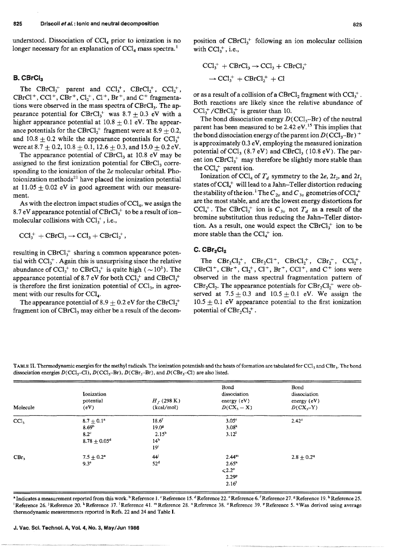understood. Dissociation of  $\text{CCI}_4$  prior to ionization is no longer necessary for an explanation of CCl<sub>4</sub> mass spectra.<sup>1</sup>

### B. CBrCl<sub>3</sub>

The CBrCl<sub>3</sub><sup>+</sup> parent and CCl<sub>3</sub><sup>+</sup>, CBrCl<sub>2</sub><sup>+</sup>, CCl<sub>2</sub><sup>+</sup>,  $CBrCl<sup>+</sup>$ ,  $CCl<sup>+</sup>$ ,  $CBr<sup>+</sup>$ ,  $Cl<sup>+</sup>$ ,  $Cl<sup>+</sup>$ ,  $Br<sup>+</sup>$ , and  $C<sup>+</sup>$  fragmentations were observed in the mass spectra of CBrCl<sub>3</sub>. The appearance potential for CBrCl<sub>3</sub><sup>+</sup> was 8.7 + 0.3 eV with a higher appearance potential at  $10.8 \pm 0.1$  eV. The appearance potentials for the CBrCl<sub>7</sub><sup>+</sup> fragment were at 8.9 + 0.2, and 10.8  $\pm$  0.2 while the appearance potentials for CCl<sub>3</sub><sup>+</sup> were at  $8.7 + 0.2$ ,  $10.8 + 0.1$ ,  $12.6 + 0.3$ , and  $15.0 + 0.2$  eV.

The appearance potential of CBrCl<sub>3</sub> at 10.8 eV may be assigned to the first ionization potential for CBrCl<sub>3</sub> corresponding to the ionization of the 2e molecular orbital. Photoionization methods<sup>21</sup> have placed the ionization potential at  $11.05 + 0.02$  eV in good agreement with our measurement.

As with the electron impact studies of  $CCI<sub>4</sub>$ , we assign the 8.7 eV appearance potential of  $CBrCl<sub>3</sub><sup>+</sup>$  to be a result of ionmolecular collisions with  $CCl_3^+$ , i.e.,

 $\text{CCl}_3^+ + \text{CBrCl}_3 \rightarrow \text{CCl}_3 + \text{CBrCl}_3^+$ ,

resulting in  $CBrCl<sub>3</sub><sup>+</sup>$  sharing a common appearance potential with  $CCl_1^+$ . Again this is unsurprising since the relative abundance of CCl<sub>3</sub><sup>+</sup> to CBrCl<sub>3</sub><sup>+</sup> is quite high ( $\sim$ 10<sup>3</sup>). The appearance potential of 8.7 eV for both  $CCl_1^+$  and  $CBrCl_1^+$ is therefore the first ionization potential of  $CCl<sub>3</sub>$ , in agreement with our results for CCl<sub>4</sub>.

The appearance potential of 8.9  $\pm$  0.2 eV for the CBrCl<sub>7</sub><sup>+</sup> fragment ion of  $CBrCl<sub>3</sub>$  may either be a result of the decomposition of  $CBrCl<sub>1</sub><sup>+</sup>$  following an ion molecular collision with  $CCl_1^+$ , i.e.,

$$
CCl3+ + CBrCl3 \rightarrow CCl3 + CBrCl3+
$$

$$
\rightarrow CCl3+ + CBrCl2+ + Cl
$$

or as a result of a collision of a CBrCl<sub>2</sub> fragment with  $CCl_3^+$ . Both reactions are likely since the relative abundance of  $CCl_3^+ / CBrCl_2^+$  is greater than 10.

The bond dissociation energy  $D(CCl_3 - Br)$  of the neutral parent has been measured to be  $2.42 \text{ eV}$ .<sup>15</sup> This implies that the bond dissociation energy of the parent ion  $D(CCl_3-Br)^+$ is approximately 0.3 eV, employing the measured ionization potential of CCl<sub>3</sub> (8.7 eV) and CBrCl<sub>3</sub> (10.8 eV). The parent ion CBrCl<sub>3</sub><sup>+</sup> may therefore be slightly more stable than the  $\text{CCl}_{4}^{+}$  parent ion.

Ionization of CCl<sub>4</sub> of  $T_a$  symmetry to the 2e, 2t<sub>2</sub>, and 2t<sub>1</sub> states of CCl<sub>4</sub>+ will lead to a Jahn-Teller distortion reducing the stability of the ion.<sup>1</sup> The  $C_{2v}$  and  $C_{3v}$  geometries of CCl<sub>4</sub><sup>+</sup> are the most stable, and are the lowest energy distortions for  $CCl<sub>4</sub><sup>+</sup>$ . The CBrCl<sub>3</sub><sup>+</sup> ion is  $C_{3v}$  not  $T<sub>d</sub>$  as a result of the bromine substitution thus reducing the Jahn-Teller distortion. As a result, one would expect the  $CBrCl<sub>3</sub><sup>+</sup>$  ion to be more stable than the  $CCl_{\mu}^{+}$  ion.

#### $C.$ CBr<sub>2</sub> $Cl<sub>2</sub>$

The  $CBr_2Cl_2^+$ ,  $CBr_2Cl^+$ ,  $CBrCl_2^+$ ,  $CBr_2^+$ ,  $CCl_2^+$ , CBrCl<sup>+</sup>, CBr<sup>+</sup>, Cl<sub>2</sub><sup>+</sup>, Cl<sup>+</sup>, Br<sup>+</sup>, CCl<sup>+</sup>, and C<sup>+</sup> ions were observed in the mass spectral fragmentation pattern of CBr<sub>2</sub>Cl<sub>2</sub>. The appearance potentials for  $CBr_2Cl_2^+$  were observed at  $7.5 \pm 0.3$  and  $10.5 \pm 0.1$  eV. We assign the  $10.5 \pm 0.1$  eV appearance potential to the first ionization potential of  $CBr_2Cl_2^+$ .

TABLE II. Thermodynamic energies for the methyl radicals. The ionization potentials and the heats of formation are tabulated for CCl<sub>2</sub> and CBr<sub>3</sub>. The bond dissociation energies  $D(CCl_3-Cl)$ ,  $D(CCl_3-Br)$ ,  $D(CBr_3-Br)$ , and  $D(CBr_3-Cl)$  are also listed.

| Molecule         | <b>Ionization</b><br>potential<br>(eV)                                       | $H_f(298 \text{ K})$<br>(kcal/mol)                                                             | Bond<br>dissociation<br>energy $(eV)$<br>$D(CX_3 - X)$                                      | Bond<br>dissociation<br>energy $(eV)$<br>$D(CX3-Y)$ |
|------------------|------------------------------------------------------------------------------|------------------------------------------------------------------------------------------------|---------------------------------------------------------------------------------------------|-----------------------------------------------------|
| CC <sub>1</sub>  | $8.7 \pm 0.1^{\circ}$<br>8.69 <sup>b</sup><br>$8.2^\circ$<br>$8.78 + 0.05^d$ | 18.6 <sup>f</sup><br>19.0 <sup>8</sup><br>$2.15^{\rm b}$<br>14 <sup>h</sup><br>19 <sup>i</sup> | 3.05 <sup>c</sup><br>3.08 <sup>k</sup><br>3.12 <sup>1</sup>                                 | $2.42^{\circ}$                                      |
| CBr <sub>3</sub> | $7.5 \pm 0.2^{\circ}$<br>9.3 <sup>e</sup>                                    | 44<br>52 <sup>d</sup>                                                                          | $2.44^m$<br>2.65 <sup>n</sup><br>$\leq 2.2^\circ$<br>2.29 <sup>p</sup><br>2.16 <sup>1</sup> | $2.8 + 0.29$                                        |

<sup>a</sup> Indicates a measurement reported from this work. <sup>b</sup> Reference 1. <sup>c</sup> Reference 15. <sup>d</sup> Reference 22. <sup>e</sup> Reference 6. <sup>f</sup> Reference 27. <sup>g</sup> Reference 19. <sup>h</sup> Reference 25. <sup>1</sup>Reference 26. <sup>3</sup>Reference 20. <sup>k</sup>Reference 37. <sup>1</sup>Reference 41. <sup>m</sup>Reference 28. <sup>n</sup>Reference 38. <sup>o</sup>Reference 39. <sup>p</sup>Reference 5. <sup>q</sup>Was derived using average thermodynamic measurements reported in Refs. 22 and 24 and Table I.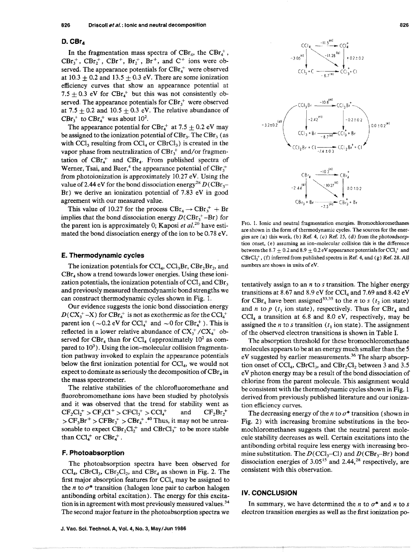### $D.$  CBr<sub>4</sub>

In the fragmentation mass spectra of  $CBr_4$ , the  $CBr_4^+$ ,  $CBr_3^+$ ,  $CBr_2^+$ ,  $CBr_1^+$ ,  $Br_2^+$ ,  $Br_3^+$ , and  $C^+$  ions were observed. The appearance potentials for  $CBr<sub>4</sub><sup>+</sup>$  were observed at  $10.3 \pm 0.2$  and  $13.5 \pm 0.3$  eV. There are some ionization efficiency curves that show an appearance potential at 7.5  $\pm$  0.3 eV for CBr<sub>4</sub><sup>+</sup> but this was not consistently observed. The appearance potentials for  $CBr_i^+$  were observed at 7.5  $\pm$  0.2 and 10.5  $\pm$  0.3 eV. The relative abundance of  $CBr_3^+$  to  $CBr_4^+$  was about 10<sup>2</sup>.

The appearance potential for  $CBr_4^+$  at 7.5  $\pm$  0.2 eV may be assigned to the ionization potential of  $CBr_3$ . The  $CBr_3$  (as with  $\text{CCl}_3$  resulting from  $\text{CCl}_4$  or  $\text{CBrCl}_3$ ) is created in the vapor phase from neutralization of  $CBr_3^+$  and/or fragmentation of  $CBr<sub>4</sub>$  and  $CBr<sub>4</sub>$ . From published spectra of Werner, Tsai, and Baer,<sup>4</sup> the appearance potential of  $CBr_3^+$ from photoionization is approximately 10.27 eV. Using the value of 2.44 eV for the bond dissociation energy<sup>28</sup>  $D(\text{CBr}_3$ -Br) we derive **an** ionization potential of 7.83 eV in good agreement with our measured value.

This value of 10.27 for the process  $CBr_4 \rightarrow CBr_3^+ + Br$ implies that the bond dissociation energy  $D(CBr_1^+ - Br)$  for the parent ion is approximately 0; Kaposi et *aL2"* have estimated the bond dissociation energy of the ion to be 0.78 eV.

#### **E. Thermodynamic cycles**

The ionization potentials for  $\text{CCl}_4$ ,  $\text{CCl}_3\text{Br}_1$ ,  $\text{CBr}_2\text{Br}_2$ , and  $CBr<sub>4</sub>$  show a trend towards lower energies. Using these ionization potentials, the ionization potentials of  $CCl<sub>3</sub>$  and  $CBr<sub>3</sub>$ and previousIy measured thermodynamic bond strengths we can construct thermodynamic cycles shown in Fig. 1.

Our evidence suggests the ionic bond dissociation energy  $D(CX_3^+ - X)$  for  $CBr_4^+$  is not as exothermic as for the CCl<sub>4</sub><sup>+</sup> parent ion (  $\sim$  0.2 eV for CCl<sub>4</sub><sup>+</sup> and  $\sim$  0 for CBr<sub>4</sub><sup>+</sup>). This is reflected in a lower relative abundance of  $CX<sub>3</sub><sup>+</sup>/CX<sub>4</sub><sup>+</sup>$  observed for CBr<sub>4</sub> than for CCl<sub>4</sub> (approximately  $10^2$  as compared to  $10<sup>3</sup>$ ). Using the ion-molecular collision fragmentation pathway invoked to explain the appearance potentials below the first ionization potential for  $\text{CCI}_4$ , we would not expect to dominate as seriously the decomposition of  $CBr<sub>4</sub>$  in the mass spectrometer.

The relative stabilities of the chlorofluoromethane and fluorobromomethane ions have been studied by photolysis and it was observed that the trend for stability went as  $CF_2Cl_2^+ > CF_3Cl^+ > CFCl_3^+ > CCl_4^+$  and  $CF_2Br_2^+$  $>$  CF<sub>3</sub>Br<sup>+</sup>  $>$  CFBr<sub>3</sub><sup>+</sup>  $>$  CBr<sub>4</sub><sup>+</sup>.<sup>40</sup> Thus, it may not be unreasonable to expect  $CBr_2Cl_2^+$  and  $CBrCl_3^+$  to be more stable than  $CCl<sub>4</sub><sup>+</sup>$  or  $CBr<sub>4</sub><sup>+</sup>$ .

#### **F. Photoabsorption**

The photoabsorption spectra have been observed for CCl<sub>4</sub>, CBrCl<sub>3</sub>, CBr<sub>2</sub>Cl<sub>2</sub>, and CBr<sub>4</sub> as shown in Fig. 2. The first major absorption features for  $\text{CCI}_4$  may be assigned to the *n* to  $\sigma^*$  transition (halogen lone pair to carbon halogen antibonding orbital excitation). The energy for this excitation is in agreement with most previously measured values.<sup>34</sup> The second major feature in the photoabsorption spectra we



**FIG.** *I. Ionic and neutral fragmentation energies. Bromochloromethanes are shown in the form of themodynamic cycles. The sources for the ener*gies are  $(a)$  this work,  $(b)$  Ref. 4,  $(c)$  Ref. 15,  $(d)$  from the photoadsorp*tion onset, (e) assuming an ion-molecular collision* **this is** *the difference*  between the 8.7  $\pm$  0.2 and 8.9  $\pm$  0.2 eV appearance potentials for CCI<sub>3</sub><sup>+</sup> and *CErGl,f, (f) inferred from published spectra in Ref 4, and* (g) *Ref. 28.* **A11**  *numbers are shown in units of eV.* 

tentatively assign to an n to **s** transition, The higher energy transitions at 8.67 and 8.9 eV for CCl<sub>4</sub> and 7.69 and 8.42 eV for CBr<sub>4</sub> have been assigned<sup>33,35</sup> to the *n* to *s* ( $t_2$  ion state) and *n* to  $p$  ( $t_1$  ion state), respectively. Thus for CBr<sub>4</sub> and  $CCl<sub>4</sub>$  a transition at 6.8 and 8.0 eV, respectively, may be assigned the *n* to *s* transition  $(t<sub>1</sub>$  ion state). The assignment of the observed electron transitions is shown in Table I.

The absorption threshold for these brornochloromethane molecules appears to be at an energy much smaller than the 5 eV suggested by earlier measurements. $^{36}$  The sharp absorption onset of  $\text{CCl}_4$ ,  $\text{CBrCl}_3$ , and  $\text{CBr}_2\text{Cl}_2$  between 3 and 3.5 eV photon energy may be a result of the bond dissociation of chlorine from the parent molecule. This assignment would be consistent with the thermodynamic cycles shown in Fig. 1 derived from previousIy published literature and our ionization efficiency curves.

The decreasing energy of the  $n$  to  $\sigma^*$  transition (shown in Fig. 2) with increasing bromine substitutions in the bromochloromethanes suggests that the neutral parent molecule stability decreases as well. Certain excitations into the antibonding orbital require less energy with increasing bromine substitution. The  $D(CCl_3-Cl)$  and  $D(CBr_3-Br)$  bond dissociation energies of  $3.05^{15}$  and  $2.44$ ,<sup>28</sup> respectively, are consistent with this observation.

### **IV. CONCLUSION**

In summary, we have determined the *n* to  $\sigma^*$  and *n* to *s* electron transition energies as well as the first ionization **po-**